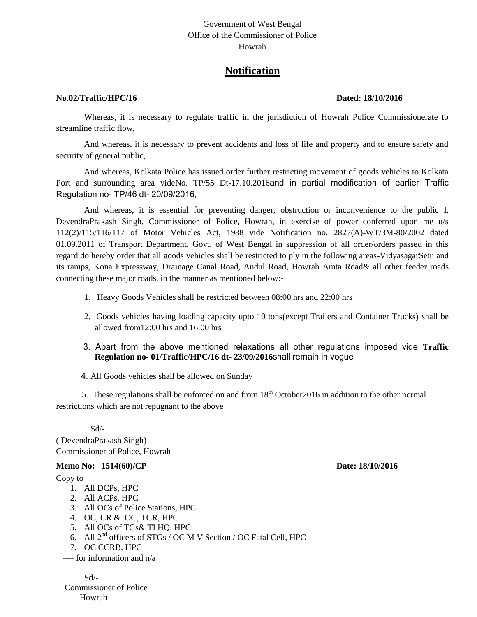## Government of West Bengal Office of the Commissioner of Police Howrah

# **Notification**

#### **No.02/Traffic/HPC/16 Dated: 18/10/2016**

Whereas, it is necessary to regulate traffic in the jurisdiction of Howrah Police Commissionerate to streamline traffic flow,

And whereas, it is necessary to prevent accidents and loss of life and property and to ensure safety and security of general public,

And whereas, Kolkata Police has issued order further restricting movement of goods vehicles to Kolkata Port and surrounding area videNo. TP/55 Dt-17.10.2016and in partial modification of earlier Traffic Regulation no- TP/46 dt- 20/09/2016,

And whereas, it is essential for preventing danger, obstruction or inconvenience to the public I, DevendraPrakash Singh, Commissioner of Police, Howrah, in exercise of power conferred upon me u/s 112(2)/115/116/117 of Motor Vehicles Act, 1988 vide Notification no. 2827(A)-WT/3M-80/2002 dated 01.09.2011 of Transport Department, Govt. of West Bengal in suppression of all order/orders passed in this regard do hereby order that all goods vehicles shall be restricted to ply in the following areas-VidyasagarSetu and its ramps, Kona Expressway, Drainage Canal Road, Andul Road, Howrah Amta Road& all other feeder roads connecting these major roads, in the manner as mentioned below:-

- 1. Heavy Goods Vehicles shall be restricted between 08:00 hrs and 22:00 hrs
- 2. Goods vehicles having loading capacity upto 10 tons(except Trailers and Container Trucks) shall be allowed from12:00 hrs and 16:00 hrs
- 3. Apart from the above mentioned relaxations all other regulations imposed vide **Traffic Regulation no- 01/Traffic/HPC/16 dt- 23/09/2016**shall remain in vogue

4. All Goods vehicles shall be allowed on Sunday

5. These regulations shall be enforced on and from  $18<sup>th</sup>$  October 2016 in addition to the other normal restrictions which are not repugnant to the above

Sd/-

( DevendraPrakash Singh) Commissioner of Police, Howrah

### **Memo No: 1514(60)/CP Date: 18/10/2016**

### Copy to

- 1. All DCPs, HPC
- 2. All ACPs, HPC
- 3. All OCs of Police Stations, HPC
- 4. OC, CR & OC, TCR, HPC
- 5. All OCs of TGs& TI HQ, HPC
- 6. All 2nd officers of STGs / OC M V Section / OC Fatal Cell, HPC
- 7. OC CCRB, HPC

---- for information and n/a

Sd/- Commissioner of Police Howrah